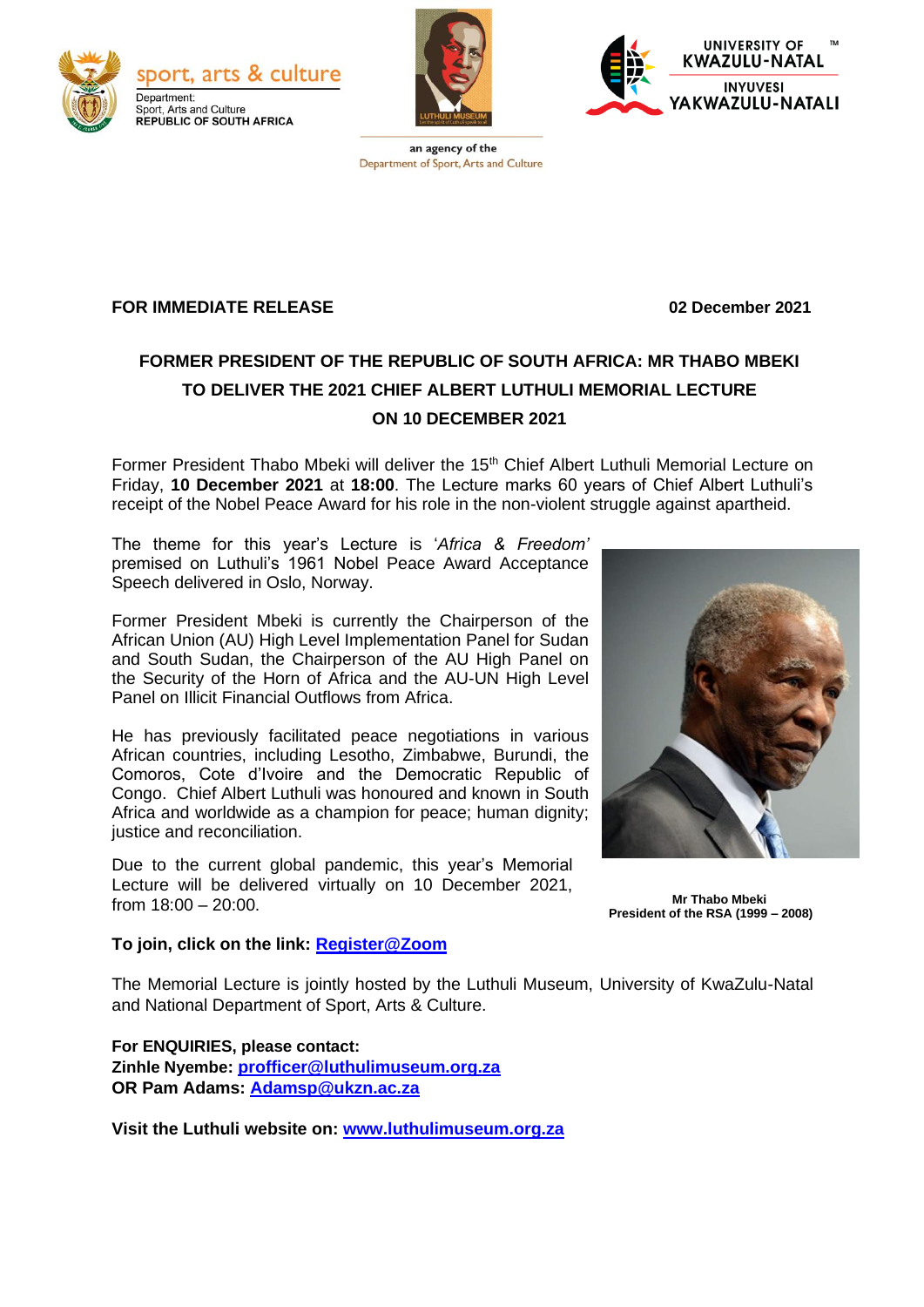



**UNIVERSITY OF KWAZULU-NATAL INYUVESI** AKWAZULU-NATALI

an agency of the Department of Sport, Arts and Culture

# **FOR IMMEDIATE RELEASE 02 December 2021**

# **FORMER PRESIDENT OF THE REPUBLIC OF SOUTH AFRICA: MR THABO MBEKI TO DELIVER THE 2021 CHIEF ALBERT LUTHULI MEMORIAL LECTURE ON 10 DECEMBER 2021**

Former President Thabo Mbeki will deliver the 15<sup>th</sup> Chief Albert Luthuli Memorial Lecture on Friday, **10 December 2021** at **18:00**. The Lecture marks 60 years of Chief Albert Luthuli's receipt of the Nobel Peace Award for his role in the non-violent struggle against apartheid.

The theme for this year's Lecture is '*Africa & Freedom'* premised on Luthuli's 1961 Nobel Peace Award Acceptance Speech delivered in Oslo, Norway.

Former President Mbeki is currently the Chairperson of the African Union (AU) High Level Implementation Panel for Sudan and South Sudan, the Chairperson of the AU High Panel on the Security of the Horn of Africa and the AU-UN High Level Panel on Illicit Financial Outflows from Africa.

He has previously facilitated peace negotiations in various African countries, including Lesotho, Zimbabwe, Burundi, the Comoros, Cote d'Ivoire and the Democratic Republic of Congo. Chief Albert Luthuli was honoured and known in South Africa and worldwide as a champion for peace; human dignity; justice and reconciliation.

Due to the current global pandemic, this year's Memorial Lecture will be delivered virtually on 10 December 2021, from 18:00 – 20:00. **Mr Thabo Mbeki**



**President of the RSA (1999 – 2008)**

#### **To join, click on the link: [Register@Zoom](https://ukzn.zoom.us/webinar/register/WN_ZlGM_WZPT3mz4yAclPS33w)**

The Memorial Lecture is jointly hosted by the Luthuli Museum, University of KwaZulu-Natal and National Department of Sport, Arts & Culture.

**For ENQUIRIES, please contact: Zinhle Nyembe: [profficer@luthulimuseum.org.za](mailto:profficer@luthulimuseum.org.za) OR Pam Adams: [Adamsp@ukzn.ac.za](mailto:Adamsp@ukzn.ac.za)**

**Visit the Luthuli website on: [www.luthulimuseum.org.za](http://www.luthulimuseum.org.za/)**